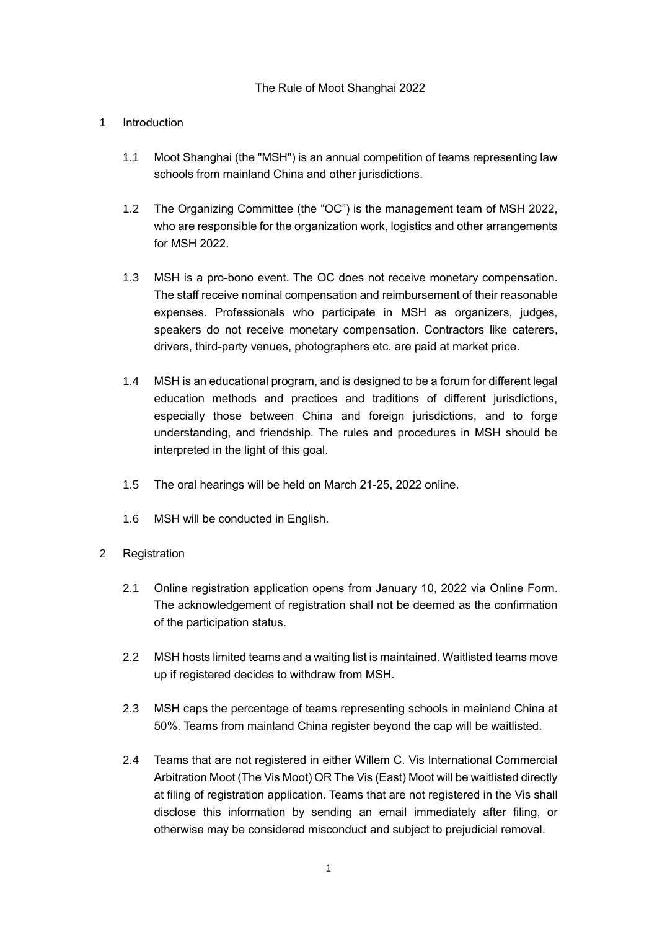## The Rule of Moot Shanghai 2022

## 1 Introduction

- 1.1 Moot Shanghai (the "MSH") is an annual competition of teams representing law schools from mainland China and other jurisdictions.
- 1.2 The Organizing Committee (the "OC") is the management team of MSH 2022, who are responsible for the organization work, logistics and other arrangements for MSH 2022.
- 1.3 MSH is a pro-bono event. The OC does not receive monetary compensation. The staff receive nominal compensation and reimbursement of their reasonable expenses. Professionals who participate in MSH as organizers, judges, speakers do not receive monetary compensation. Contractors like caterers, drivers, third-party venues, photographers etc. are paid at market price.
- 1.4 MSH is an educational program, and is designed to be a forum for different legal education methods and practices and traditions of different jurisdictions, especially those between China and foreign jurisdictions, and to forge understanding, and friendship. The rules and procedures in MSH should be interpreted in the light of this goal.
- 1.5 The oral hearings will be held on March 21-25, 2022 online.
- 1.6 MSH will be conducted in English.
- 2 Registration
	- 2.1 Online registration application opens from January 10, 2022 via Online Form. The acknowledgement of registration shall not be deemed as the confirmation of the participation status.
	- 2.2 MSH hosts limited teams and a waiting list is maintained. Waitlisted teams move up if registered decides to withdraw from MSH.
	- 2.3 MSH caps the percentage of teams representing schools in mainland China at 50%. Teams from mainland China register beyond the cap will be waitlisted.
	- 2.4 Teams that are not registered in either Willem C. Vis International Commercial Arbitration Moot (The Vis Moot) OR The Vis (East) Moot will be waitlisted directly at filing of registration application. Teams that are not registered in the Vis shall disclose this information by sending an email immediately after filing, or otherwise may be considered misconduct and subject to prejudicial removal.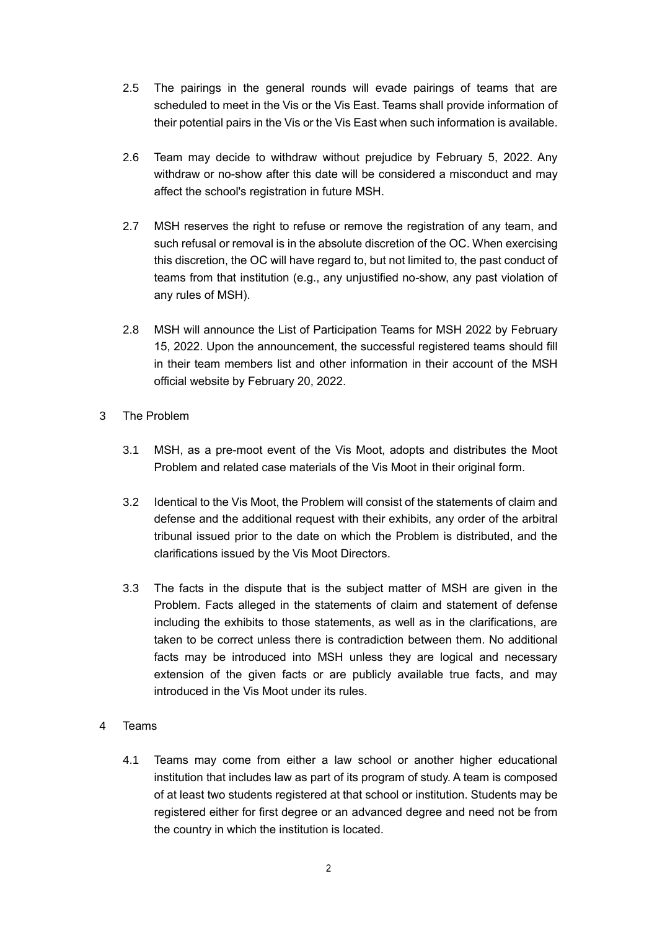- 2.5 The pairings in the general rounds will evade pairings of teams that are scheduled to meet in the Vis or the Vis East. Teams shall provide information of their potential pairs in the Vis or the Vis East when such information is available.
- 2.6 Team may decide to withdraw without prejudice by February 5, 2022. Any withdraw or no-show after this date will be considered a misconduct and may affect the school's registration in future MSH.
- 2.7 MSH reserves the right to refuse or remove the registration of any team, and such refusal or removal is in the absolute discretion of the OC. When exercising this discretion, the OC will have regard to, but not limited to, the past conduct of teams from that institution (e.g., any unjustified no-show, any past violation of any rules of MSH).
- 2.8 MSH will announce the List of Participation Teams for MSH 2022 by February 15, 2022. Upon the announcement, the successful registered teams should fill in their team members list and other information in their account of the MSH official website by February 20, 2022.
- 3 The Problem
	- 3.1 MSH, as a pre-moot event of the Vis Moot, adopts and distributes the Moot Problem and related case materials of the Vis Moot in their original form.
	- 3.2 Identical to the Vis Moot, the Problem will consist of the statements of claim and defense and the additional request with their exhibits, any order of the arbitral tribunal issued prior to the date on which the Problem is distributed, and the clarifications issued by the Vis Moot Directors.
	- 3.3 The facts in the dispute that is the subject matter of MSH are given in the Problem. Facts alleged in the statements of claim and statement of defense including the exhibits to those statements, as well as in the clarifications, are taken to be correct unless there is contradiction between them. No additional facts may be introduced into MSH unless they are logical and necessary extension of the given facts or are publicly available true facts, and may introduced in the Vis Moot under its rules.
- 4 Teams
	- 4.1 Teams may come from either a law school or another higher educational institution that includes law as part of its program of study. A team is composed of at least two students registered at that school or institution. Students may be registered either for first degree or an advanced degree and need not be from the country in which the institution is located.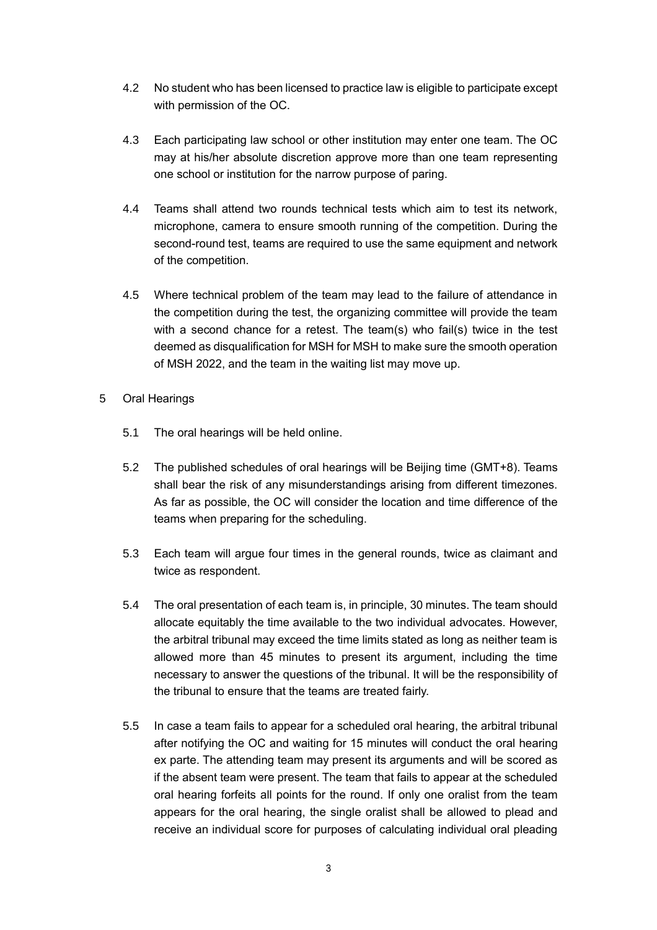- 4.2 No student who has been licensed to practice law is eligible to participate except with permission of the OC.
- 4.3 Each participating law school or other institution may enter one team. The OC may at his/her absolute discretion approve more than one team representing one school or institution for the narrow purpose of paring.
- 4.4 Teams shall attend two rounds technical tests which aim to test its network, microphone, camera to ensure smooth running of the competition. During the second-round test, teams are required to use the same equipment and network of the competition.
- 4.5 Where technical problem of the team may lead to the failure of attendance in the competition during the test, the organizing committee will provide the team with a second chance for a retest. The team(s) who fail(s) twice in the test deemed as disqualification for MSH for MSH to make sure the smooth operation of MSH 2022, and the team in the waiting list may move up.
- 5 Oral Hearings
	- 5.1 The oral hearings will be held online.
	- 5.2 The published schedules of oral hearings will be Beijing time (GMT+8). Teams shall bear the risk of any misunderstandings arising from different timezones. As far as possible, the OC will consider the location and time difference of the teams when preparing for the scheduling.
	- 5.3 Each team will argue four times in the general rounds, twice as claimant and twice as respondent.
	- 5.4 The oral presentation of each team is, in principle, 30 minutes. The team should allocate equitably the time available to the two individual advocates. However, the arbitral tribunal may exceed the time limits stated as long as neither team is allowed more than 45 minutes to present its argument, including the time necessary to answer the questions of the tribunal. It will be the responsibility of the tribunal to ensure that the teams are treated fairly.
	- 5.5 In case a team fails to appear for a scheduled oral hearing, the arbitral tribunal after notifying the OC and waiting for 15 minutes will conduct the oral hearing ex parte. The attending team may present its arguments and will be scored as if the absent team were present. The team that fails to appear at the scheduled oral hearing forfeits all points for the round. If only one oralist from the team appears for the oral hearing, the single oralist shall be allowed to plead and receive an individual score for purposes of calculating individual oral pleading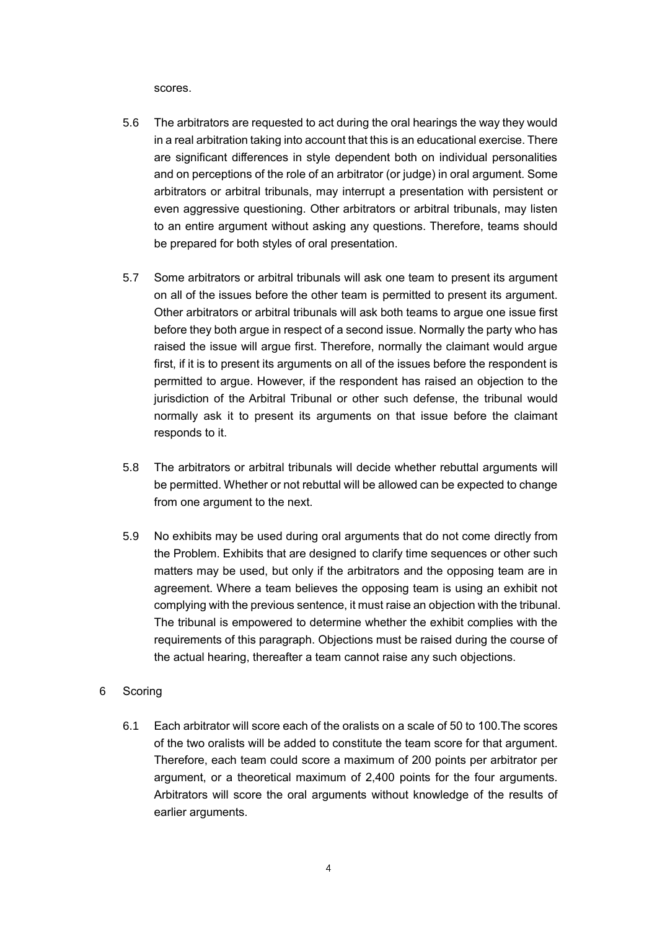scores.

- 5.6 The arbitrators are requested to act during the oral hearings the way they would in a real arbitration taking into account that this is an educational exercise. There are significant differences in style dependent both on individual personalities and on perceptions of the role of an arbitrator (or judge) in oral argument. Some arbitrators or arbitral tribunals, may interrupt a presentation with persistent or even aggressive questioning. Other arbitrators or arbitral tribunals, may listen to an entire argument without asking any questions. Therefore, teams should be prepared for both styles of oral presentation.
- 5.7 Some arbitrators or arbitral tribunals will ask one team to present its argument on all of the issues before the other team is permitted to present its argument. Other arbitrators or arbitral tribunals will ask both teams to argue one issue first before they both argue in respect of a second issue. Normally the party who has raised the issue will argue first. Therefore, normally the claimant would argue first, if it is to present its arguments on all of the issues before the respondent is permitted to argue. However, if the respondent has raised an objection to the jurisdiction of the Arbitral Tribunal or other such defense, the tribunal would normally ask it to present its arguments on that issue before the claimant responds to it.
- 5.8 The arbitrators or arbitral tribunals will decide whether rebuttal arguments will be permitted. Whether or not rebuttal will be allowed can be expected to change from one argument to the next.
- 5.9 No exhibits may be used during oral arguments that do not come directly from the Problem. Exhibits that are designed to clarify time sequences or other such matters may be used, but only if the arbitrators and the opposing team are in agreement. Where a team believes the opposing team is using an exhibit not complying with the previous sentence, it must raise an objection with the tribunal. The tribunal is empowered to determine whether the exhibit complies with the requirements of this paragraph. Objections must be raised during the course of the actual hearing, thereafter a team cannot raise any such objections.
- 6 Scoring
	- 6.1 Each arbitrator will score each of the oralists on a scale of 50 to 100.The scores of the two oralists will be added to constitute the team score for that argument. Therefore, each team could score a maximum of 200 points per arbitrator per argument, or a theoretical maximum of 2,400 points for the four arguments. Arbitrators will score the oral arguments without knowledge of the results of earlier arguments.